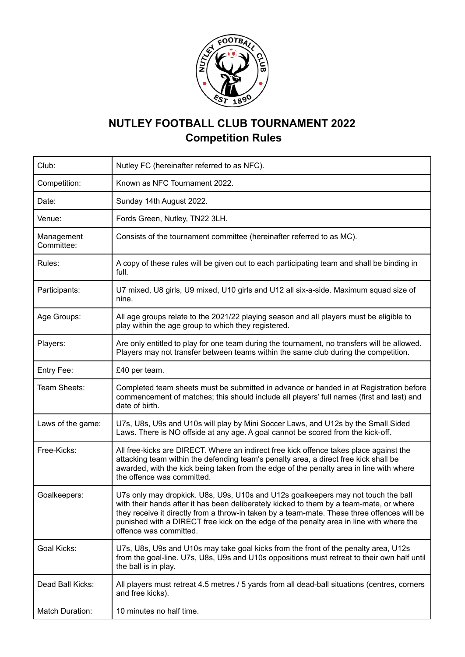

## **NUTLEY FOOTBALL CLUB TOURNAMENT 2022 Competition Rules**

| Club:                    | Nutley FC (hereinafter referred to as NFC).                                                                                                                                                                                                                                                                                                                                                      |  |
|--------------------------|--------------------------------------------------------------------------------------------------------------------------------------------------------------------------------------------------------------------------------------------------------------------------------------------------------------------------------------------------------------------------------------------------|--|
| Competition:             | Known as NFC Tournament 2022.                                                                                                                                                                                                                                                                                                                                                                    |  |
| Date:                    | Sunday 14th August 2022.                                                                                                                                                                                                                                                                                                                                                                         |  |
| Venue:                   | Fords Green, Nutley, TN22 3LH.                                                                                                                                                                                                                                                                                                                                                                   |  |
| Management<br>Committee: | Consists of the tournament committee (hereinafter referred to as MC).                                                                                                                                                                                                                                                                                                                            |  |
| Rules:                   | A copy of these rules will be given out to each participating team and shall be binding in<br>full.                                                                                                                                                                                                                                                                                              |  |
| Participants:            | U7 mixed, U8 girls, U9 mixed, U10 girls and U12 all six-a-side. Maximum squad size of<br>nine.                                                                                                                                                                                                                                                                                                   |  |
| Age Groups:              | All age groups relate to the 2021/22 playing season and all players must be eligible to<br>play within the age group to which they registered.                                                                                                                                                                                                                                                   |  |
| Players:                 | Are only entitled to play for one team during the tournament, no transfers will be allowed.<br>Players may not transfer between teams within the same club during the competition.                                                                                                                                                                                                               |  |
| Entry Fee:               | £40 per team.                                                                                                                                                                                                                                                                                                                                                                                    |  |
| Team Sheets:             | Completed team sheets must be submitted in advance or handed in at Registration before<br>commencement of matches; this should include all players' full names (first and last) and<br>date of birth.                                                                                                                                                                                            |  |
| Laws of the game:        | U7s, U8s, U9s and U10s will play by Mini Soccer Laws, and U12s by the Small Sided<br>Laws. There is NO offside at any age. A goal cannot be scored from the kick-off.                                                                                                                                                                                                                            |  |
| Free-Kicks:              | All free-kicks are DIRECT. Where an indirect free kick offence takes place against the<br>attacking team within the defending team's penalty area, a direct free kick shall be<br>awarded, with the kick being taken from the edge of the penalty area in line with where<br>the offence was committed.                                                                                          |  |
| Goalkeepers:             | U7s only may dropkick. U8s, U9s, U10s and U12s goalkeepers may not touch the ball<br>with their hands after it has been deliberately kicked to them by a team-mate, or where<br>they receive it directly from a throw-in taken by a team-mate. These three offences will be<br>punished with a DIRECT free kick on the edge of the penalty area in line with where the<br>offence was committed. |  |
| <b>Goal Kicks:</b>       | U7s, U8s, U9s and U10s may take goal kicks from the front of the penalty area, U12s<br>from the goal-line. U7s, U8s, U9s and U10s oppositions must retreat to their own half until<br>the ball is in play.                                                                                                                                                                                       |  |
| Dead Ball Kicks:         | All players must retreat 4.5 metres / 5 yards from all dead-ball situations (centres, corners<br>and free kicks).                                                                                                                                                                                                                                                                                |  |
| <b>Match Duration:</b>   | 10 minutes no half time.                                                                                                                                                                                                                                                                                                                                                                         |  |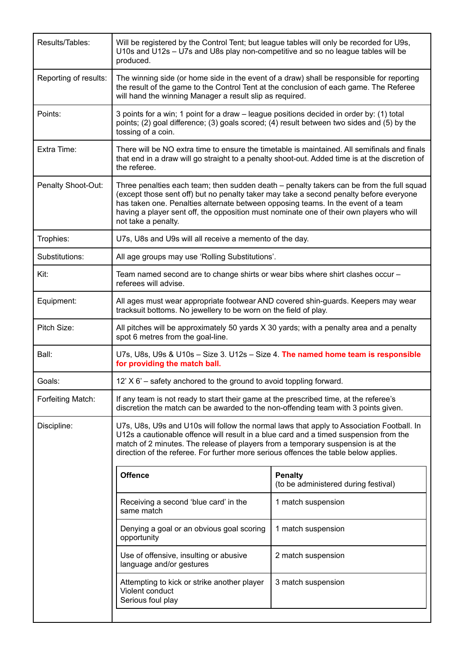| Results/Tables:       | Will be registered by the Control Tent; but league tables will only be recorded for U9s,<br>U10s and U12s - U7s and U8s play non-competitive and so no league tables will be<br>produced.                                                                                                                                                                                                  |                                                        |  |
|-----------------------|--------------------------------------------------------------------------------------------------------------------------------------------------------------------------------------------------------------------------------------------------------------------------------------------------------------------------------------------------------------------------------------------|--------------------------------------------------------|--|
| Reporting of results: | The winning side (or home side in the event of a draw) shall be responsible for reporting<br>the result of the game to the Control Tent at the conclusion of each game. The Referee<br>will hand the winning Manager a result slip as required.                                                                                                                                            |                                                        |  |
| Points:               | 3 points for a win; 1 point for a draw – league positions decided in order by: (1) total<br>points; (2) goal difference; (3) goals scored; (4) result between two sides and (5) by the<br>tossing of a coin.                                                                                                                                                                               |                                                        |  |
| Extra Time:           | There will be NO extra time to ensure the timetable is maintained. All semifinals and finals<br>that end in a draw will go straight to a penalty shoot-out. Added time is at the discretion of<br>the referee.                                                                                                                                                                             |                                                        |  |
| Penalty Shoot-Out:    | Three penalties each team; then sudden death – penalty takers can be from the full squad<br>(except those sent off) but no penalty taker may take a second penalty before everyone<br>has taken one. Penalties alternate between opposing teams. In the event of a team<br>having a player sent off, the opposition must nominate one of their own players who will<br>not take a penalty. |                                                        |  |
| Trophies:             | U7s, U8s and U9s will all receive a memento of the day.                                                                                                                                                                                                                                                                                                                                    |                                                        |  |
| Substitutions:        | All age groups may use 'Rolling Substitutions'.                                                                                                                                                                                                                                                                                                                                            |                                                        |  |
| Kit:                  | Team named second are to change shirts or wear bibs where shirt clashes occur -<br>referees will advise.                                                                                                                                                                                                                                                                                   |                                                        |  |
| Equipment:            | All ages must wear appropriate footwear AND covered shin-guards. Keepers may wear<br>tracksuit bottoms. No jewellery to be worn on the field of play.                                                                                                                                                                                                                                      |                                                        |  |
| Pitch Size:           | All pitches will be approximately 50 yards X 30 yards; with a penalty area and a penalty<br>spot 6 metres from the goal-line.                                                                                                                                                                                                                                                              |                                                        |  |
| Ball:                 | U7s, U8s, U9s & U10s - Size 3. U12s - Size 4. The named home team is responsible<br>for providing the match ball.                                                                                                                                                                                                                                                                          |                                                        |  |
| Goals:                | 12' X 6' - safety anchored to the ground to avoid toppling forward.                                                                                                                                                                                                                                                                                                                        |                                                        |  |
| Forfeiting Match:     | If any team is not ready to start their game at the prescribed time, at the referee's<br>discretion the match can be awarded to the non-offending team with 3 points given.                                                                                                                                                                                                                |                                                        |  |
| Discipline:           | U7s, U8s, U9s and U10s will follow the normal laws that apply to Association Football. In<br>U12s a cautionable offence will result in a blue card and a timed suspension from the<br>match of 2 minutes. The release of players from a temporary suspension is at the<br>direction of the referee. For further more serious offences the table below applies.                             |                                                        |  |
|                       | <b>Offence</b>                                                                                                                                                                                                                                                                                                                                                                             | <b>Penalty</b><br>(to be administered during festival) |  |
|                       | Receiving a second 'blue card' in the<br>same match                                                                                                                                                                                                                                                                                                                                        | 1 match suspension                                     |  |
|                       | Denying a goal or an obvious goal scoring<br>opportunity                                                                                                                                                                                                                                                                                                                                   | 1 match suspension                                     |  |
|                       | Use of offensive, insulting or abusive<br>language and/or gestures                                                                                                                                                                                                                                                                                                                         | 2 match suspension                                     |  |
|                       | Attempting to kick or strike another player<br>Violent conduct<br>Serious foul play                                                                                                                                                                                                                                                                                                        | 3 match suspension                                     |  |